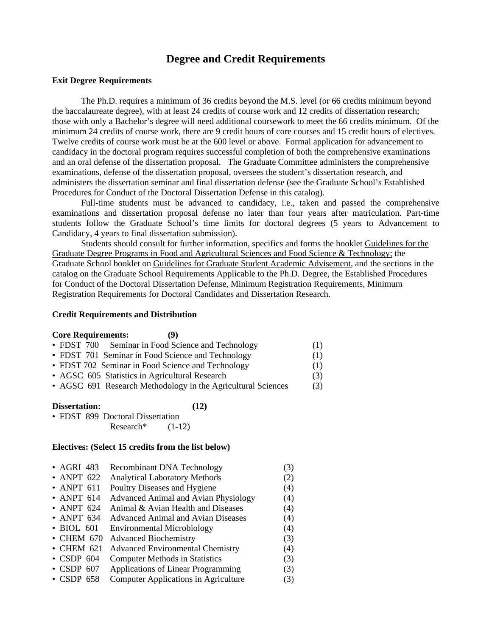## **Degree and Credit Requirements**

## **Exit Degree Requirements**

The Ph.D. requires a minimum of 36 credits beyond the M.S. level (or 66 credits minimum beyond the baccalaureate degree), with at least 24 credits of course work and 12 credits of dissertation research; those with only a Bachelor's degree will need additional coursework to meet the 66 credits minimum. Of the minimum 24 credits of course work, there are 9 credit hours of core courses and 15 credit hours of electives. Twelve credits of course work must be at the 600 level or above. Formal application for advancement to candidacy in the doctoral program requires successful completion of both the comprehensive examinations and an oral defense of the dissertation proposal. The Graduate Committee administers the comprehensive examinations, defense of the dissertation proposal, oversees the student's dissertation research, and administers the dissertation seminar and final dissertation defense (see the Graduate School's Established Procedures for Conduct of the Doctoral Dissertation Defense in this catalog).

 Full-time students must be advanced to candidacy, i.e., taken and passed the comprehensive examinations and dissertation proposal defense no later than four years after matriculation. Part-time students follow the Graduate School's time limits for doctoral degrees (5 years to Advancement to Candidacy, 4 years to final dissertation submission).

Students should consult for further information, specifics and forms the booklet Guidelines for the Graduate Degree Programs in Food and Agricultural Sciences and Food Science & Technology; the Graduate School booklet on Guidelines for Graduate Student Academic Advisement, and the sections in the catalog on the Graduate School Requirements Applicable to the Ph.D. Degree, the Established Procedures for Conduct of the Doctoral Dissertation Defense, Minimum Registration Requirements, Minimum Registration Requirements for Doctoral Candidates and Dissertation Research.

## **Credit Requirements and Distribution**

| <b>Core Requirements:</b><br>(9)                             |     |
|--------------------------------------------------------------|-----|
| • FDST 700 Seminar in Food Science and Technology            | (1) |
| • FDST 701 Seminar in Food Science and Technology            | (1) |
| • FDST 702 Seminar in Food Science and Technology            | (1) |
| • AGSC 605 Statistics in Agricultural Research               | (3) |
| • AGSC 691 Research Methodology in the Agricultural Sciences | (3) |

| Dissertation: | (12) |
|---------------|------|
|---------------|------|

|  | • FDST 899 Doctoral Dissertation |          |
|--|----------------------------------|----------|
|  | Research <sup>*</sup>            | $(1-12)$ |

## **Electives: (Select 15 credits from the list below)**

| $\bullet$ AGRI 483 | <b>Recombinant DNA Technology</b>           | (3) |
|--------------------|---------------------------------------------|-----|
| $\bullet$ ANPT 622 | <b>Analytical Laboratory Methods</b>        | (2) |
| • ANPT $611$       | Poultry Diseases and Hygiene                | (4) |
| • ANPT $614$       | <b>Advanced Animal and Avian Physiology</b> | (4) |
| • ANPT $624$       | Animal & Avian Health and Diseases          | (4) |
| • ANPT $634$       | Advanced Animal and Avian Diseases          | (4) |
| • BIOL 601         | <b>Environmental Microbiology</b>           | (4) |
| $\bullet$ CHEM 670 | <b>Advanced Biochemistry</b>                | (3) |
| $\bullet$ CHEM 621 | <b>Advanced Environmental Chemistry</b>     | (4) |
| $\cdot$ CSDP 604   | <b>Computer Methods in Statistics</b>       | (3) |
| $\cdot$ CSDP 607   | Applications of Linear Programming          | (3) |
| $\cdot$ CSDP 658   | Computer Applications in Agriculture        | (3) |